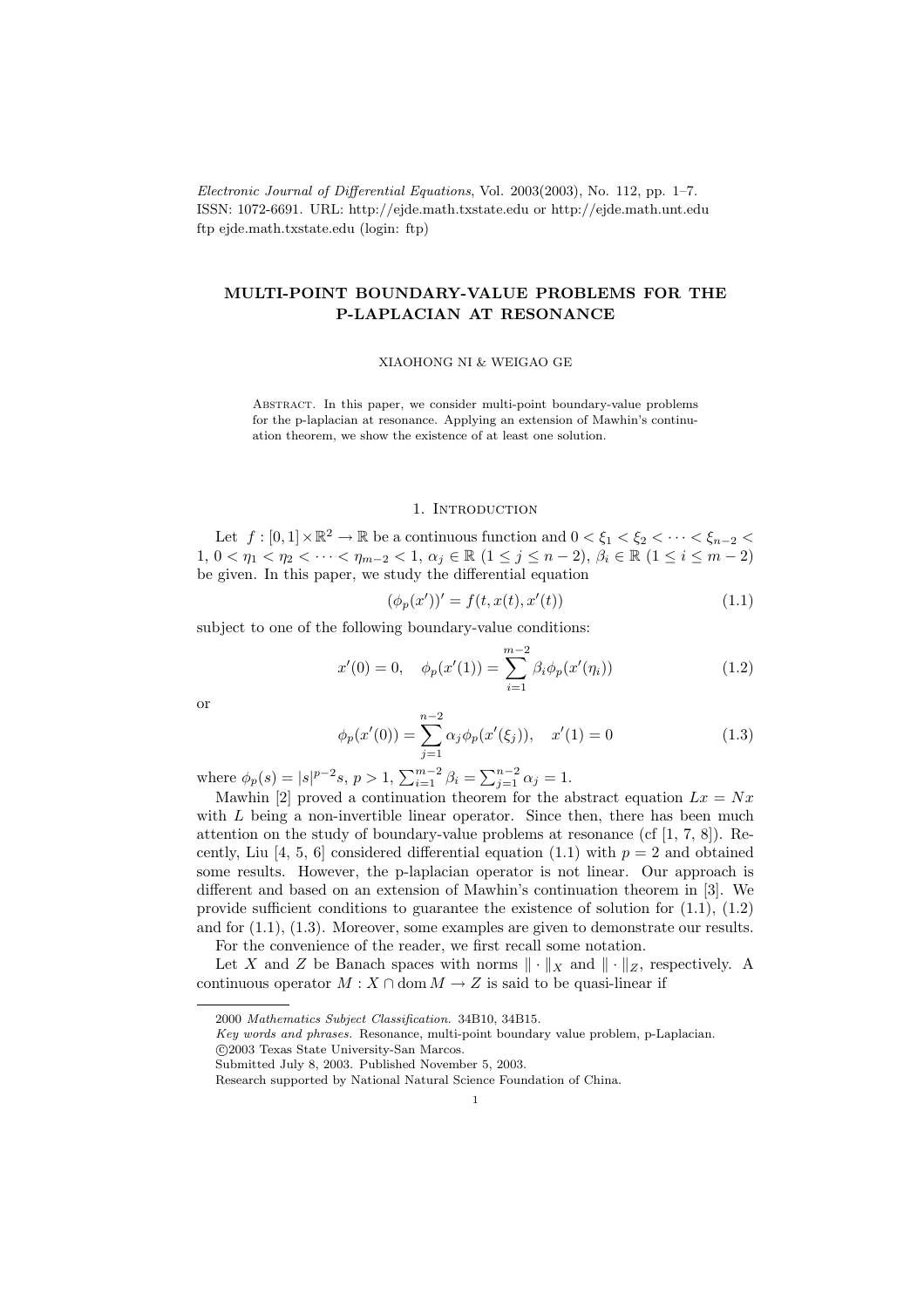Electronic Journal of Differential Equations, Vol. 2003(2003), No. 112, pp. 1–7. ISSN: 1072-6691. URL: http://ejde.math.txstate.edu or http://ejde.math.unt.edu ftp ejde.math.txstate.edu (login: ftp)

# MULTI-POINT BOUNDARY-VALUE PROBLEMS FOR THE P-LAPLACIAN AT RESONANCE

XIAOHONG NI & WEIGAO GE

Abstract. In this paper, we consider multi-point boundary-value problems for the p-laplacian at resonance. Applying an extension of Mawhin's continuation theorem, we show the existence of at least one solution.

## 1. INTRODUCTION

Let  $f : [0,1] \times \mathbb{R}^2 \to \mathbb{R}$  be a continuous function and  $0 < \xi_1 < \xi_2 < \cdots < \xi_{n-2} <$ 1,  $0 < \eta_1 < \eta_2 < \cdots < \eta_{m-2} < 1$ ,  $\alpha_j \in \mathbb{R}$   $(1 \leq j \leq n-2)$ ,  $\beta_i \in \mathbb{R}$   $(1 \leq i \leq m-2)$ be given. In this paper, we study the differential equation

$$
(\phi_p(x'))' = f(t, x(t), x'(t))
$$
\n(1.1)

subject to one of the following boundary-value conditions:

$$
x'(0) = 0, \quad \phi_p(x'(1)) = \sum_{i=1}^{m-2} \beta_i \phi_p(x'(\eta_i))
$$
\n(1.2)

or

$$
\phi_p(x'(0)) = \sum_{j=1}^{n-2} \alpha_j \phi_p(x'(\xi_j)), \quad x'(1) = 0 \tag{1.3}
$$

where  $\phi_p(s) = |s|^{p-2} s, p > 1, \sum_{i=1}^{m-2} \beta_i = \sum_{j=1}^{n-2} \alpha_j = 1.$ 

Mawhin [2] proved a continuation theorem for the abstract equation  $Lx = Nx$ with  $L$  being a non-invertible linear operator. Since then, there has been much attention on the study of boundary-value problems at resonance (cf  $[1, 7, 8]$ ). Recently, Liu [4, 5, 6] considered differential equation (1.1) with  $p = 2$  and obtained some results. However, the p-laplacian operator is not linear. Our approach is different and based on an extension of Mawhin's continuation theorem in [3]. We provide sufficient conditions to guarantee the existence of solution for (1.1), (1.2) and for (1.1), (1.3). Moreover, some examples are given to demonstrate our results. For the convenience of the reader, we first recall some notation.

Let X and Z be Banach spaces with norms  $\|\cdot\|_X$  and  $\|\cdot\|_Z$ , respectively. A continuous operator  $M : X \cap \text{dom } M \to Z$  is said to be quasi-linear if

c 2003 Texas State University-San Marcos.

<sup>2000</sup> Mathematics Subject Classification. 34B10, 34B15.

Key words and phrases. Resonance, multi-point boundary value problem, p-Laplacian.

Submitted July 8, 2003. Published November 5, 2003.

Research supported by National Natural Science Foundation of China.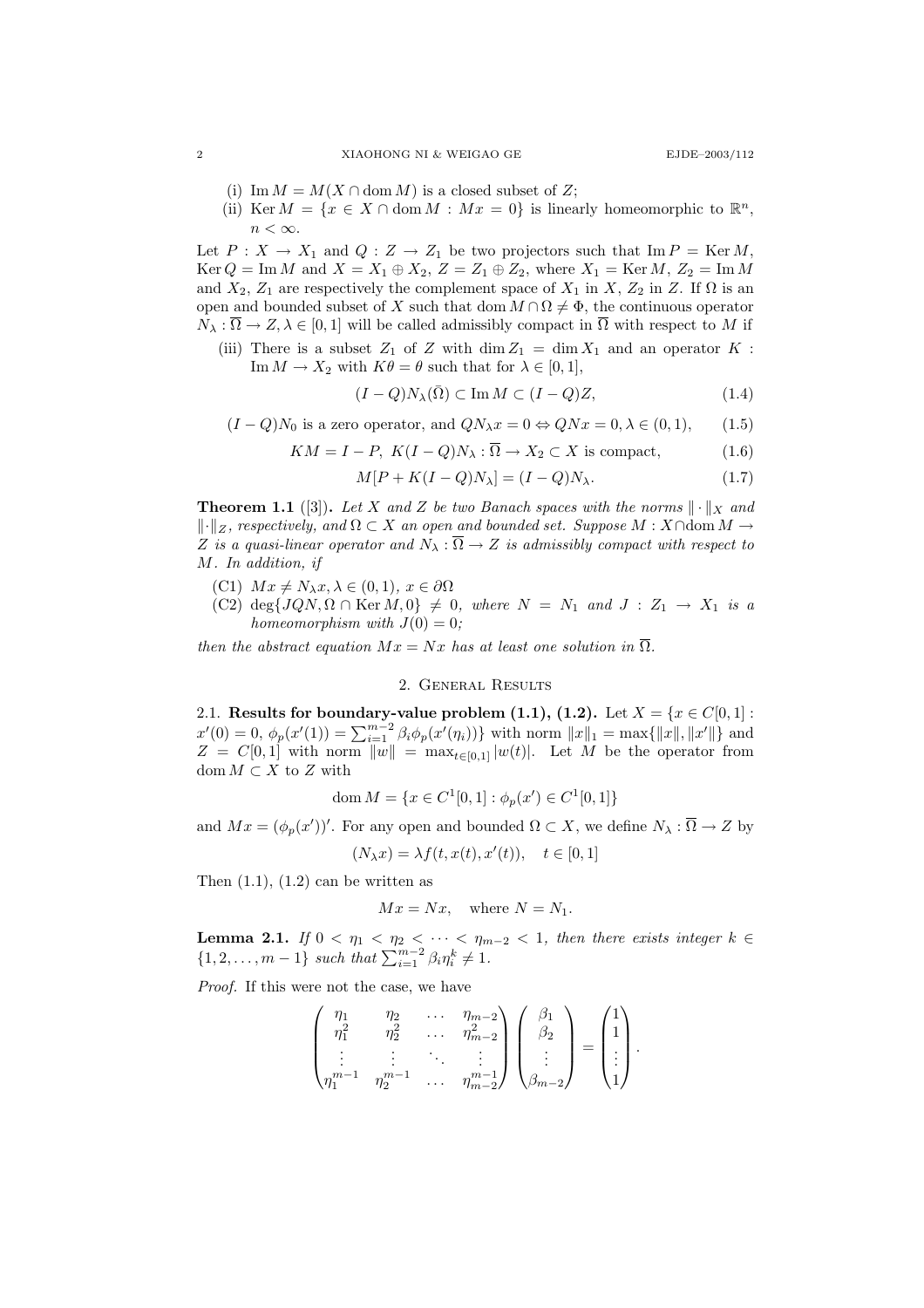- (i) Im  $M = M(X \cap \text{dom } M)$  is a closed subset of Z;
- (ii) Ker  $M = \{x \in X \cap \text{dom } M : Mx = 0\}$  is linearly homeomorphic to  $\mathbb{R}^n$ ,  $n < \infty$ .

Let  $P: X \to X_1$  and  $Q: Z \to Z_1$  be two projectors such that  $\text{Im } P = \text{Ker } M$ ,  $Ker Q = Im M$  and  $X = X_1 \oplus X_2$ ,  $Z = Z_1 \oplus Z_2$ , where  $X_1 = Ker M$ ,  $Z_2 = Im M$ and  $X_2$ ,  $Z_1$  are respectively the complement space of  $X_1$  in X,  $Z_2$  in Z. If  $\Omega$  is an open and bounded subset of X such that dom  $M \cap \Omega \neq \Phi$ , the continuous operator  $N_{\lambda} : \overline{\Omega} \to Z, \lambda \in [0,1]$  will be called admissibly compact in  $\overline{\Omega}$  with respect to M if

(iii) There is a subset  $Z_1$  of Z with  $\dim Z_1 = \dim X_1$  and an operator K: Im  $M \to X_2$  with  $K\theta = \theta$  such that for  $\lambda \in [0, 1]$ ,

$$
(I - Q)N_{\lambda}(\bar{\Omega}) \subset \operatorname{Im} M \subset (I - Q)Z, \tag{1.4}
$$

$$
(I - Q)N_0
$$
 is a zero operator, and  $QN_\lambda x = 0 \Leftrightarrow QNx = 0, \lambda \in (0, 1),$  (1.5)

$$
KM = I - P, K(I - Q)N_{\lambda} : \Omega \to X_2 \subset X \text{ is compact},
$$
\n
$$
(1.6)
$$

$$
M[P + K(I - Q)N_{\lambda}] = (I - Q)N_{\lambda}.
$$
\n(1.7)

**Theorem 1.1** ([3]). Let X and Z be two Banach spaces with the norms  $\|\cdot\|_X$  and  $\lVert \cdot \rVert_Z$ , respectively, and  $\Omega \subset X$  an open and bounded set. Suppose M : X∩dom M → Z is a quasi-linear operator and  $N_{\lambda} : \overline{\Omega} \to Z$  is admissibly compact with respect to M. In addition, if

- (C1)  $Mx \neq N_\lambda x, \lambda \in (0,1), x \in \partial \Omega$
- (C2) deg $\{JQN, \Omega \cap \text{Ker }M, 0\} \neq 0$ , where  $N = N_1$  and  $J : Z_1 \rightarrow X_1$  is a homeomorphism with  $J(0) = 0$ :

then the abstract equation  $Mx = Nx$  has at least one solution in  $\overline{\Omega}$ .

## 2. General Results

2.1. Results for boundary-value problem (1.1), (1.2). Let  $X = \{x \in C[0,1]:$  $x'(0) = 0, \ \phi_p(x'(1)) = \sum_{i=1}^{m-2} \beta_i \phi_p(x'(\eta_i))\}$  with norm  $||x||_1 = \max{||x||, ||x'||}$  and  $Z = C[0,1]$  with norm  $||w|| = \max_{t \in [0,1]} |w(t)|$ . Let M be the operator from  $dom M \subset X$  to Z with

$$
\text{dom}\, M = \{ x \in C^1[0,1] : \phi_p(x') \in C^1[0,1] \}
$$

and  $Mx = (\phi_p(x'))'$ . For any open and bounded  $\Omega \subset X$ , we define  $N_\lambda : \overline{\Omega} \to Z$  by

$$
(N_{\lambda}x) = \lambda f(t, x(t), x'(t)), \quad t \in [0, 1]
$$

Then  $(1.1)$ ,  $(1.2)$  can be written as

$$
Mx = Nx, \quad \text{where } N = N_1.
$$

**Lemma 2.1.** If  $0 < \eta_1 < \eta_2 < \cdots < \eta_{m-2} < 1$ , then there exists integer  $k \in$  $\{1, 2, \ldots, m-1\}$  such that  $\sum_{i=1}^{m-2} \beta_i \eta_i^k \neq 1$ .

Proof. If this were not the case, we have

$$
\begin{pmatrix} \eta_1 & \eta_2 & \dots & \eta_{m-2} \\ \eta_1^2 & \eta_2^2 & \dots & \eta_{m-2}^2 \\ \vdots & \vdots & \ddots & \vdots \\ \eta_1^{m-1} & \eta_2^{m-1} & \dots & \eta_{m-2}^{m-1} \end{pmatrix} \begin{pmatrix} \beta_1 \\ \beta_2 \\ \vdots \\ \beta_{m-2} \end{pmatrix} = \begin{pmatrix} 1 \\ 1 \\ \vdots \\ 1 \end{pmatrix}.
$$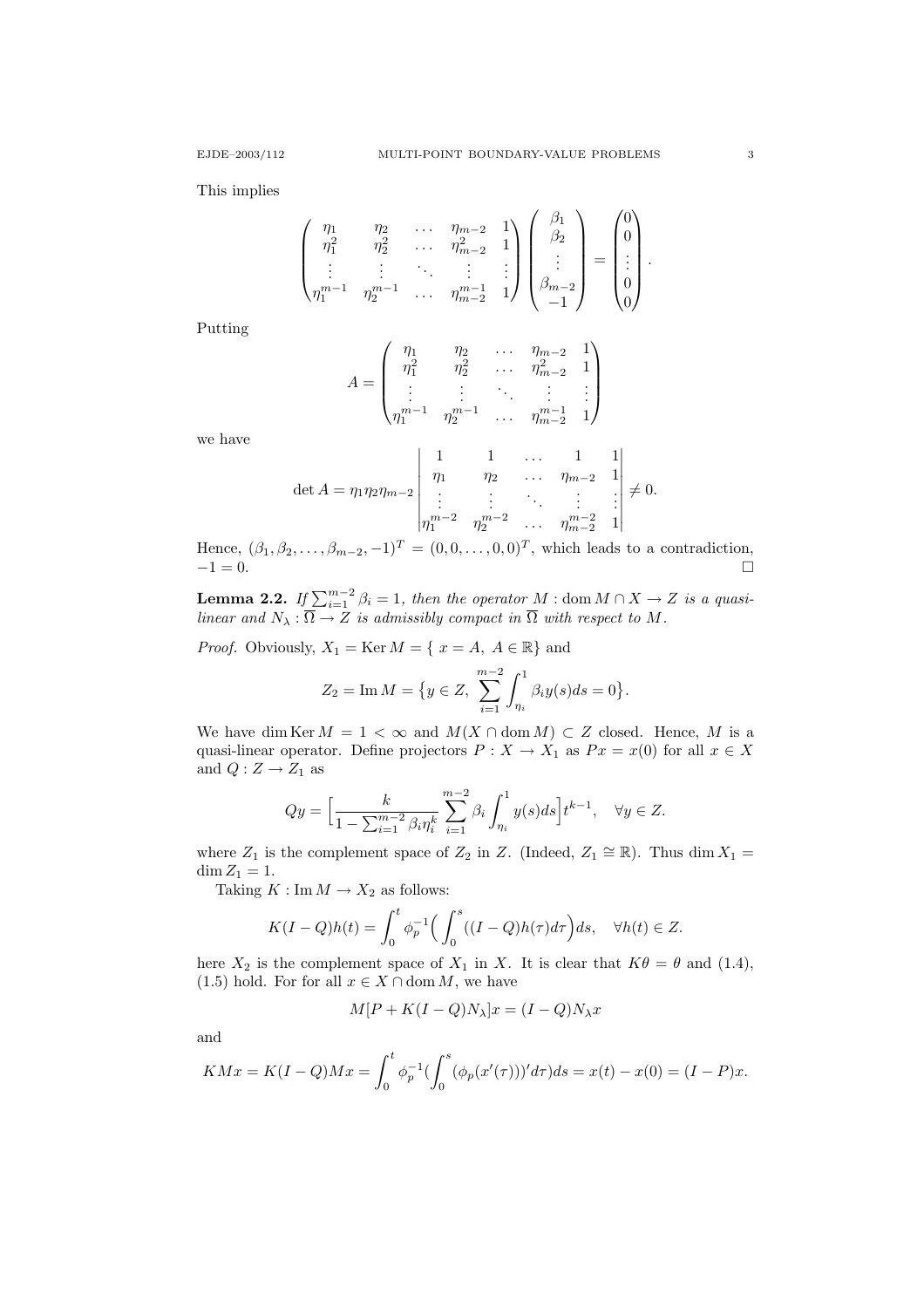This implies

$$
\begin{pmatrix} \eta_1 & \eta_2 & \dots & \eta_{m-2} & 1 \\ \eta_1^2 & \eta_2^2 & \dots & \eta_{m-2}^2 & 1 \\ \vdots & \vdots & \ddots & \vdots & \vdots \\ \eta_1^{m-1} & \eta_2^{m-1} & \dots & \eta_{m-2}^{m-1} & 1 \end{pmatrix} \begin{pmatrix} \beta_1 \\ \beta_2 \\ \vdots \\ \beta_{m-2} \\ -1 \end{pmatrix} = \begin{pmatrix} 0 \\ 0 \\ \vdots \\ 0 \\ 0 \end{pmatrix}.
$$

Putting

$$
A = \begin{pmatrix} \eta_1 & \eta_2 & \dots & \eta_{m-2} & 1 \\ \eta_1^2 & \eta_2^2 & \dots & \eta_{m-2}^2 & 1 \\ \vdots & \vdots & \ddots & \vdots & \vdots \\ \eta_1^{m-1} & \eta_2^{m-1} & \dots & \eta_{m-2}^{m-1} & 1 \end{pmatrix}
$$

we have

$$
\det A = \eta_1 \eta_2 \eta_{m-2} \begin{vmatrix} 1 & 1 & \dots & 1 & 1 \\ \eta_1 & \eta_2 & \dots & \eta_{m-2} & 1 \\ \vdots & \vdots & \ddots & \vdots & \vdots \\ \eta_1^{m-2} & \eta_2^{m-2} & \dots & \eta_{m-2}^{m-2} & 1 \end{vmatrix} \neq 0.
$$

Hence,  $(\beta_1, \beta_2, \ldots, \beta_{m-2}, -1)^T = (0, 0, \ldots, 0, 0)^T$ , which leads to a contradiction,  $-1 = 0.$ 

**Lemma 2.2.** If  $\sum_{i=1}^{m-2} \beta_i = 1$ , then the operator M : dom  $M \cap X \to Z$  is a quasilinear and  $N_{\lambda} : \Omega \to Z$  is admissibly compact in  $\Omega$  with respect to M.

*Proof.* Obviously,  $X_1 = \text{Ker } M = \{ x = A, A \in \mathbb{R} \}$  and

$$
Z_2 = \operatorname{Im} M = \{ y \in Z, \sum_{i=1}^{m-2} \int_{\eta_i}^{1} \beta_i y(s) ds = 0 \}.
$$

We have dim Ker  $M = 1 < \infty$  and  $M(X \cap \text{dom }M) \subset Z$  closed. Hence, M is a quasi-linear operator. Define projectors  $P: X \to X_1$  as  $Px = x(0)$  for all  $x \in X$ and  $Q:Z\rightarrow Z_1$  as

$$
Qy = \Big[\frac{k}{1 - \sum_{i=1}^{m-2} \beta_i \eta_i^k} \sum_{i=1}^{m-2} \beta_i \int_{\eta_i}^1 y(s) ds\Big] t^{k-1}, \quad \forall y \in Z.
$$

where  $Z_1$  is the complement space of  $Z_2$  in Z. (Indeed,  $Z_1 \cong \mathbb{R}$ ). Thus dim  $X_1 =$  $\dim Z_1 = 1.$ 

Taking  $K : \text{Im } M \to X_2$  as follows:

$$
K(I-Q)h(t) = \int_0^t \phi_p^{-1}\Big(\int_0^s ((I-Q)h(\tau)d\tau\Big)ds, \quad \forall h(t) \in Z.
$$

here  $X_2$  is the complement space of  $X_1$  in X. It is clear that  $K\theta = \theta$  and (1.4), (1.5) hold. For for all  $x \in X \cap \text{dom } M$ , we have

$$
M[P + K(I - Q)N_{\lambda}]x = (I - Q)N_{\lambda}x
$$

and

$$
K M x = K(I - Q) M x = \int_0^t \phi_p^{-1} \left( \int_0^s (\phi_p(x'(\tau)))' d\tau \right) ds = x(t) - x(0) = (I - P)x.
$$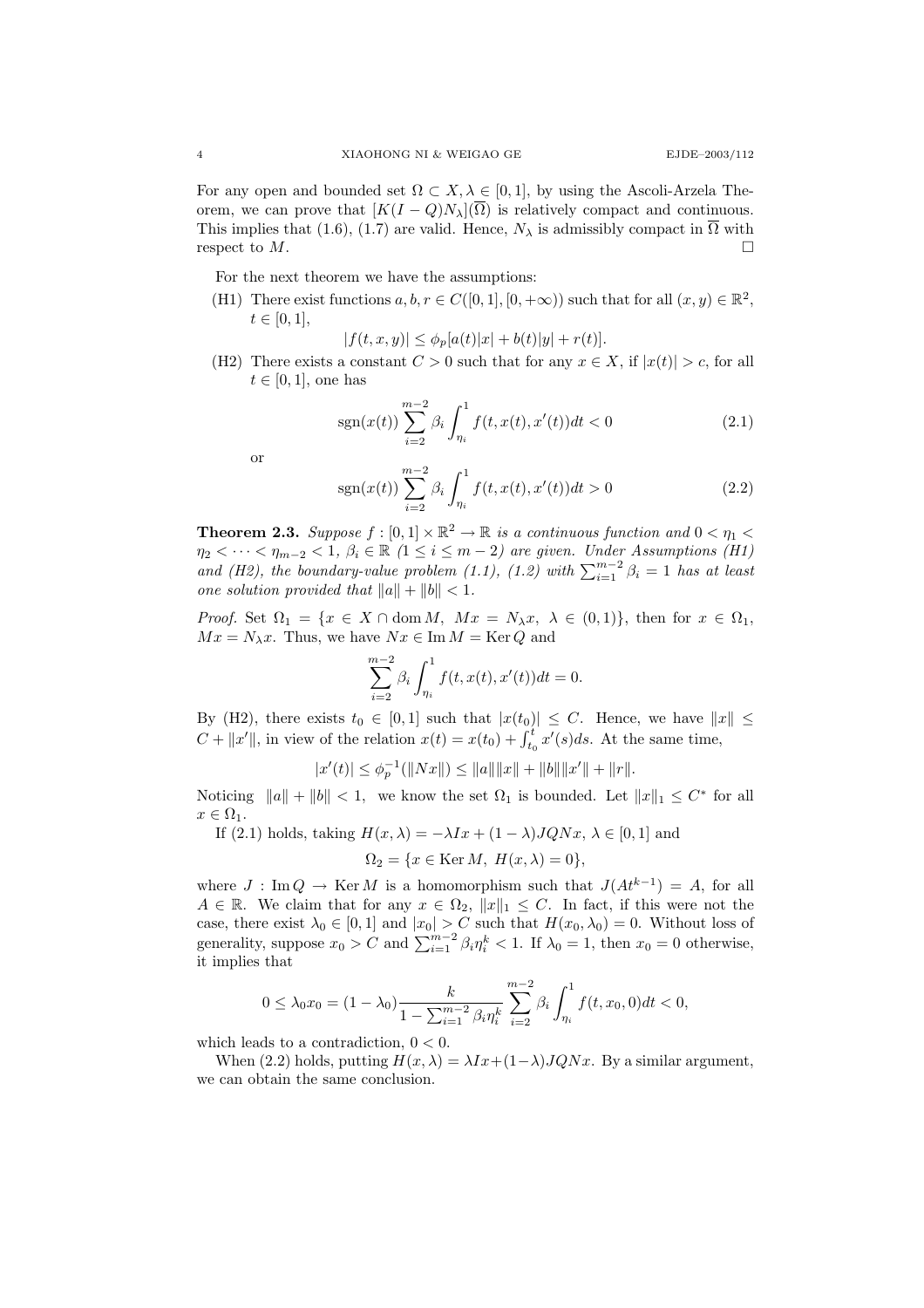For any open and bounded set  $\Omega \subset X, \lambda \in [0, 1]$ , by using the Ascoli-Arzela Theorem, we can prove that  $[K(I - Q)N_{\lambda}](\overline{\Omega})$  is relatively compact and continuous. This implies that (1.6), (1.7) are valid. Hence,  $N_{\lambda}$  is admissibly compact in  $\overline{\Omega}$  with respect to  $M$ .

For the next theorem we have the assumptions:

(H1) There exist functions  $a, b, r \in C([0, 1], [0, +\infty))$  such that for all  $(x, y) \in \mathbb{R}^2$ ,  $t \in [0, 1],$ 

 $|f(t, x, y)| \leq \phi_p[a(t)|x| + b(t)|y| + r(t)].$ 

(H2) There exists a constant  $C > 0$  such that for any  $x \in X$ , if  $|x(t)| > c$ , for all  $t \in [0, 1]$ , one has

$$
sgn(x(t))\sum_{i=2}^{m-2}\beta_i \int_{\eta_i}^1 f(t, x(t), x'(t))dt < 0
$$
\n(2.1)

or

$$
sgn(x(t))\sum_{i=2}^{m-2}\beta_i \int_{\eta_i}^1 f(t, x(t), x'(t))dt > 0
$$
\n(2.2)

**Theorem 2.3.** Suppose  $f : [0,1] \times \mathbb{R}^2 \to \mathbb{R}$  is a continuous function and  $0 < \eta_1 <$  $\eta_2 < \cdots < \eta_{m-2} < 1, \ \beta_i \in \mathbb{R}$  ( $1 \leq i \leq m-2$ ) are given. Under Assumptions (H1) and (H2), the boundary-value problem (1.1), (1.2) with  $\sum_{i=1}^{m-2} \beta_i = 1$  has at least one solution provided that  $||a|| + ||b|| < 1$ .

*Proof.* Set  $\Omega_1 = \{x \in X \cap \text{dom } M, Mx = N_\lambda x, \lambda \in (0,1)\},\$  then for  $x \in \Omega_1$ ,  $Mx = N_\lambda x$ . Thus, we have  $Nx \in \text{Im } M = \text{Ker } Q$  and

$$
\sum_{i=2}^{m-2} \beta_i \int_{\eta_i}^1 f(t, x(t), x'(t)) dt = 0.
$$

By (H2), there exists  $t_0 \in [0,1]$  such that  $|x(t_0)| \leq C$ . Hence, we have  $||x|| \leq C$  $C + ||x'||$ , in view of the relation  $x(t) = x(t_0) + \int_{t_0}^t x'(s)ds$ . At the same time,

$$
|x'(t)| \le \phi_p^{-1}(\|Nx\|) \le \|a\| \|x\| + \|b\| \|x'\| + \|r\|.
$$

Noticing  $||a|| + ||b|| < 1$ , we know the set  $\Omega_1$  is bounded. Let  $||x||_1 \leq C^*$  for all  $x \in \Omega_1$ .

If (2.1) holds, taking  $H(x, \lambda) = -\lambda Ix + (1 - \lambda)JQNx, \lambda \in [0, 1]$  and  $\Omega_2 = \{x \in \text{Ker }M, H(x, \lambda) = 0\},\$ 

where  $J: \text{Im } Q \to \text{Ker } M$  is a homomorphism such that  $J(At^{k-1}) = A$ , for all  $A \in \mathbb{R}$ . We claim that for any  $x \in \Omega_2$ ,  $||x||_1 \leq C$ . In fact, if this were not the case, there exist  $\lambda_0 \in [0,1]$  and  $|x_0| > C$  such that  $H(x_0, \lambda_0) = 0$ . Without loss of generality, suppose  $x_0 > C$  and  $\sum_{i=1}^{m-2} \beta_i \eta_i^k < 1$ . If  $\lambda_0 = 1$ , then  $x_0 = 0$  otherwise, it implies that

$$
0 \leq \lambda_0 x_0 = (1 - \lambda_0) \frac{k}{1 - \sum_{i=1}^{m-2} \beta_i \eta_i^k} \sum_{i=2}^{m-2} \beta_i \int_{\eta_i}^1 f(t, x_0, 0) dt < 0,
$$

which leads to a contradiction,  $0 < 0$ .

When (2.2) holds, putting  $H(x, \lambda) = \lambda Ix + (1-\lambda)JQNx$ . By a similar argument, we can obtain the same conclusion.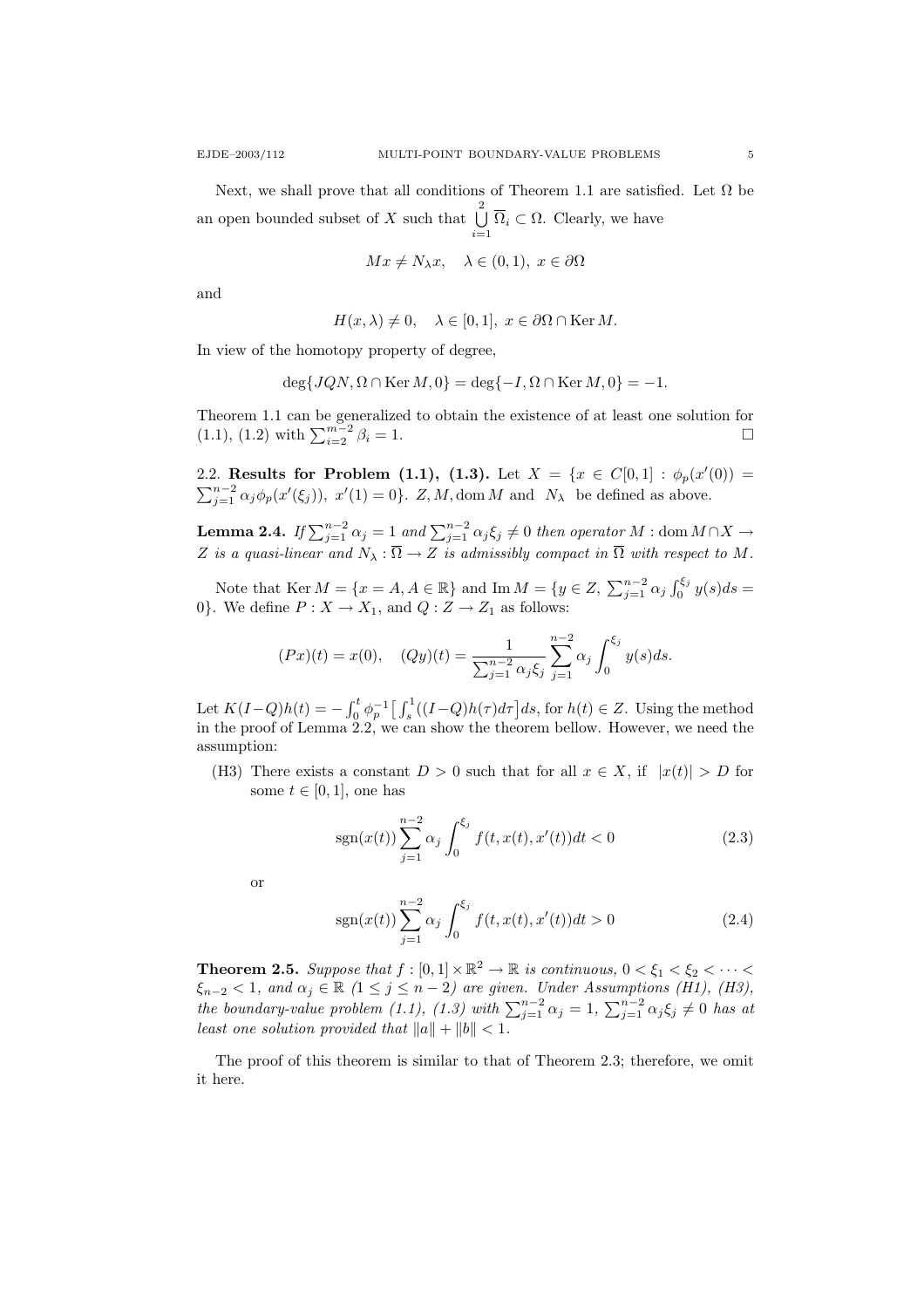Next, we shall prove that all conditions of Theorem 1.1 are satisfied. Let  $\Omega$  be an open bounded subset of X such that  $\bigcup^{2}$  $\bigcup_{i=1} \Omega_i \subset \Omega$ . Clearly, we have

$$
Mx \neq N_{\lambda}x, \quad \lambda \in (0,1), \ x \in \partial \Omega
$$

and

$$
H(x,\lambda) \neq 0, \quad \lambda \in [0,1], \ x \in \partial\Omega \cap \text{Ker } M.
$$

In view of the homotopy property of degree,

$$
\deg\{JQN, \Omega \cap \text{Ker }M, 0\} = \deg\{-I, \Omega \cap \text{Ker }M, 0\} = -1.
$$

Theorem 1.1 can be generalized to obtain the existence of at least one solution for (1.1), (1.2) with  $\sum_{i=2}^{m-2} \beta_i = 1$ .

2.2. Results for Problem (1.1), (1.3). Let  $X = \{x \in C[0,1]: \phi_p(x'(0)) =$  $\sum_{j=1}^{n-2} \alpha_j \phi_p(x'(\xi_j))$ ,  $x'(1) = 0$ . Z, M, dom M and  $N_\lambda$  be defined as above.

**Lemma 2.4.** If  $\sum_{j=1}^{n-2} \alpha_j = 1$  and  $\sum_{j=1}^{n-2} \alpha_j \xi_j \neq 0$  then operator M : dom  $M \cap X \to$ Z is a quasi-linear and  $N_{\lambda} : \Omega \to Z$  is admissibly compact in  $\Omega$  with respect to M.

Note that  $\text{Ker } M = \{x = A, A \in \mathbb{R}\}\$ and  $\text{Im } M = \{y \in Z, \sum_{j=1}^{n-2} \alpha_j \int_0^{\xi_j} y(s)ds =$ 0}. We define  $P: X \to X_1$ , and  $Q: Z \to Z_1$  as follows:

$$
(Px)(t) = x(0), \quad (Qy)(t) = \frac{1}{\sum_{j=1}^{n-2} \alpha_j \xi_j} \sum_{j=1}^{n-2} \alpha_j \int_0^{\xi_j} y(s) ds.
$$

Let  $K(I-Q)h(t) = -\int_0^t \phi_p^{-1} \left[ \int_s^1 ((I-Q)h(\tau)d\tau) d\tau \right] ds$ , for  $h(t) \in Z$ . Using the method in the proof of Lemma 2.2, we can show the theorem bellow. However, we need the assumption:

(H3) There exists a constant  $D > 0$  such that for all  $x \in X$ , if  $|x(t)| > D$  for some  $t \in [0, 1]$ , one has

$$
sgn(x(t))\sum_{j=1}^{n-2} \alpha_j \int_0^{\xi_j} f(t, x(t), x'(t))dt < 0
$$
\n(2.3)

or

$$
sgn(x(t))\sum_{j=1}^{n-2} \alpha_j \int_0^{\xi_j} f(t, x(t), x'(t))dt > 0
$$
\n(2.4)

**Theorem 2.5.** Suppose that  $f : [0,1] \times \mathbb{R}^2 \to \mathbb{R}$  is continuous,  $0 < \xi_1 < \xi_2 < \cdots <$  $\xi_{n-2} < 1$ , and  $\alpha_j \in \mathbb{R}$   $(1 \le j \le n-2)$  are given. Under Assumptions (H1), (H3), the boundary-value problem (1.1), (1.3) with  $\sum_{j=1}^{n-2} \alpha_j = 1$ ,  $\sum_{j=1}^{n-2} \alpha_j \xi_j \neq 0$  has at least one solution provided that  $||a|| + ||b|| < 1$ .

The proof of this theorem is similar to that of Theorem 2.3; therefore, we omit it here.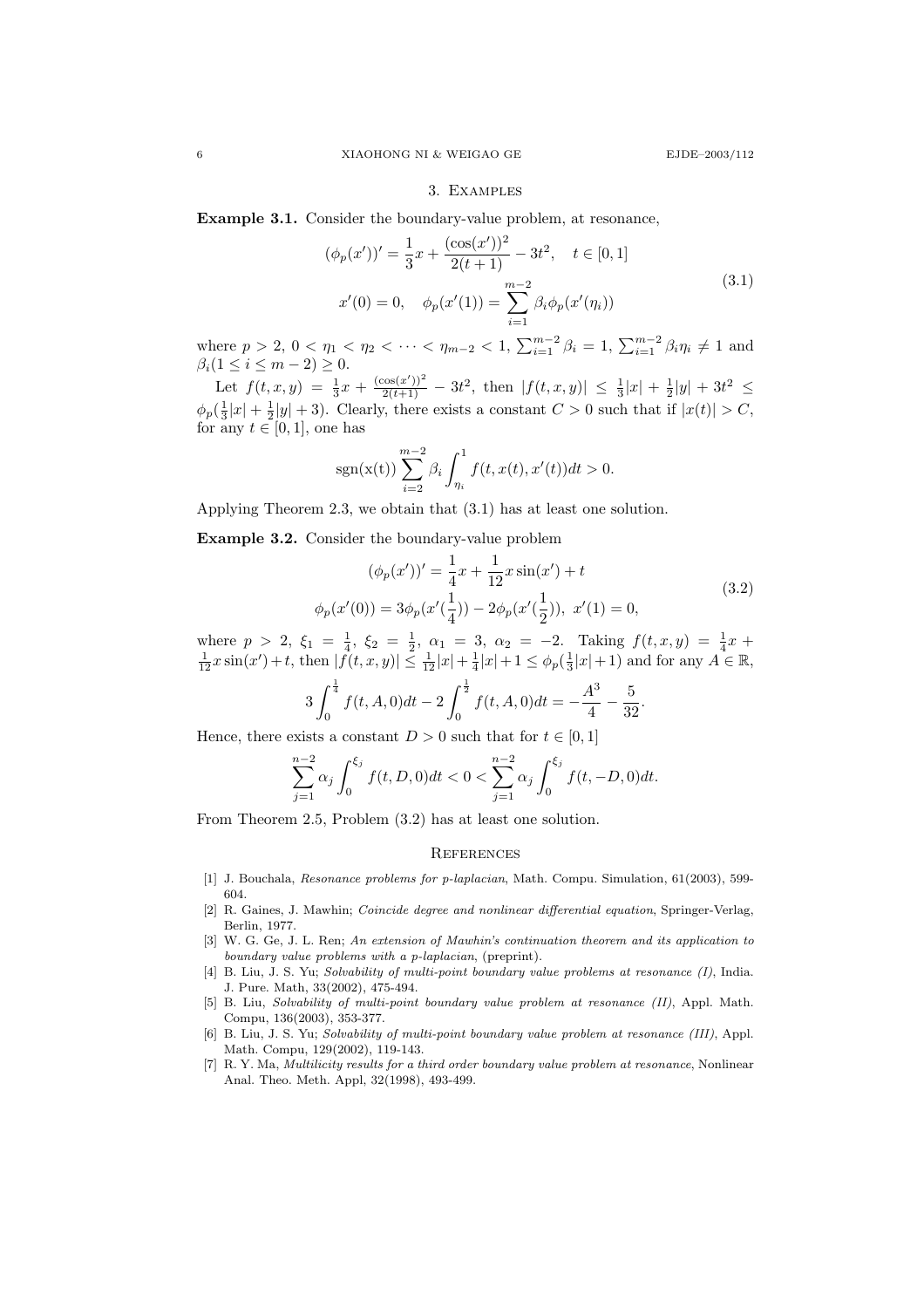#### 3. Examples

Example 3.1. Consider the boundary-value problem, at resonance,

 $($ 

$$
\phi_p(x'))' = \frac{1}{3}x + \frac{(\cos(x'))^2}{2(t+1)} - 3t^2, \quad t \in [0, 1]
$$
  

$$
x'(0) = 0, \quad \phi_p(x'(1)) = \sum_{i=1}^{m-2} \beta_i \phi_p(x'(\eta_i))
$$
 (3.1)

where  $p > 2$ ,  $0 < \eta_1 < \eta_2 < \cdots < \eta_{m-2} < 1$ ,  $\sum_{i=1}^{m-2} \beta_i = 1$ ,  $\sum_{i=1}^{m-2} \beta_i \eta_i \neq 1$  and  $\beta_i(1 \leq i \leq m-2) \geq 0.$ 

Let  $f(t, x, y) = \frac{1}{3}x + \frac{(\cos(x'))^2}{2(t+1)} - 3t^2$ , then  $|f(t, x, y)| \leq \frac{1}{3}|x| + \frac{1}{2}|y| + 3t^2 \leq$  $\phi_p(\frac{1}{3}|x| + \frac{1}{2}|y| + 3)$ . Clearly, there exists a constant  $C > 0$  such that if  $|x(t)| > C$ , for any  $t \in [0,1]$ , one has

$$
sgn(x(t))\sum_{i=2}^{m-2}\beta_i \int_{\eta_i}^1 f(t, x(t), x'(t))dt > 0.
$$

Applying Theorem 2.3, we obtain that (3.1) has at least one solution.

Example 3.2. Consider the boundary-value problem

$$
(\phi_p(x'))' = \frac{1}{4}x + \frac{1}{12}x\sin(x') + t
$$
  

$$
\phi_p(x'(0)) = 3\phi_p(x'(\frac{1}{4})) - 2\phi_p(x'(\frac{1}{2})), x'(1) = 0,
$$
 (3.2)

.

where  $p > 2$ ,  $\xi_1 = \frac{1}{4}$ ,  $\xi_2 = \frac{1}{2}$ ,  $\alpha_1 = 3$ ,  $\alpha_2 = -2$ . Taking  $f(t, x, y) = \frac{1}{4}x +$  $\frac{1}{12}x\sin(x')+t$ , then  $|f(t,x,y)| \leq \frac{1}{12}|x| + \frac{1}{4}|x| + 1 \leq \phi_p(\frac{1}{3}|x| + 1)$  and for any  $A \in \mathbb{R}$ ,

$$
3\int_0^{\frac{1}{4}} f(t, A, 0)dt - 2\int_0^{\frac{1}{2}} f(t, A, 0)dt = -\frac{A^3}{4} - \frac{5}{32}
$$

Hence, there exists a constant  $D > 0$  such that for  $t \in [0, 1]$ 

$$
\sum_{j=1}^{n-2} \alpha_j \int_0^{\xi_j} f(t, D, 0) dt < 0 < \sum_{j=1}^{n-2} \alpha_j \int_0^{\xi_j} f(t, -D, 0) dt.
$$

From Theorem 2.5, Problem (3.2) has at least one solution.

### **REFERENCES**

- [1] J. Bouchala, Resonance problems for p-laplacian, Math. Compu. Simulation, 61(2003), 599-604.
- [2] R. Gaines, J. Mawhin; Coincide degree and nonlinear differential equation, Springer-Verlag, Berlin, 1977.
- [3] W. G. Ge, J. L. Ren; An extension of Mawhin's continuation theorem and its application to boundary value problems with a p-laplacian, (preprint).
- [4] B. Liu, J. S. Yu; Solvability of multi-point boundary value problems at resonance (I), India. J. Pure. Math, 33(2002), 475-494.
- [5] B. Liu, Solvability of multi-point boundary value problem at resonance (II), Appl. Math. Compu, 136(2003), 353-377.
- [6] B. Liu, J. S. Yu; Solvability of multi-point boundary value problem at resonance (III), Appl. Math. Compu, 129(2002), 119-143.
- [7] R. Y. Ma, Multilicity results for a third order boundary value problem at resonance, Nonlinear Anal. Theo. Meth. Appl, 32(1998), 493-499.